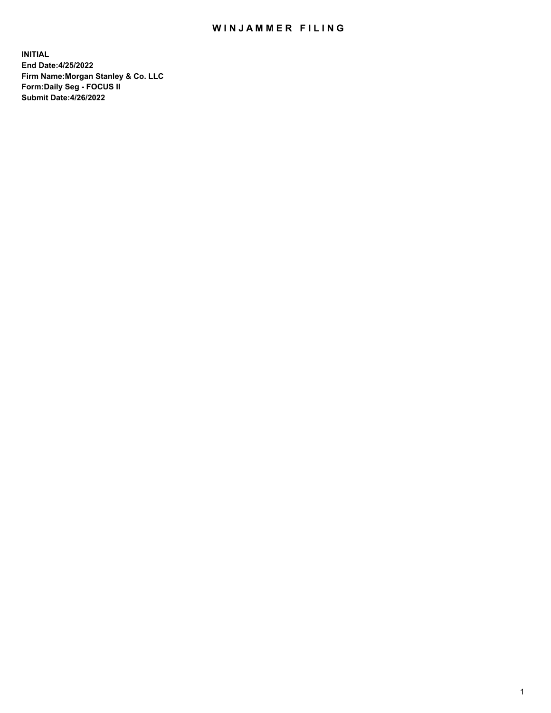## WIN JAMMER FILING

**INITIAL End Date:4/25/2022 Firm Name:Morgan Stanley & Co. LLC Form:Daily Seg - FOCUS II Submit Date:4/26/2022**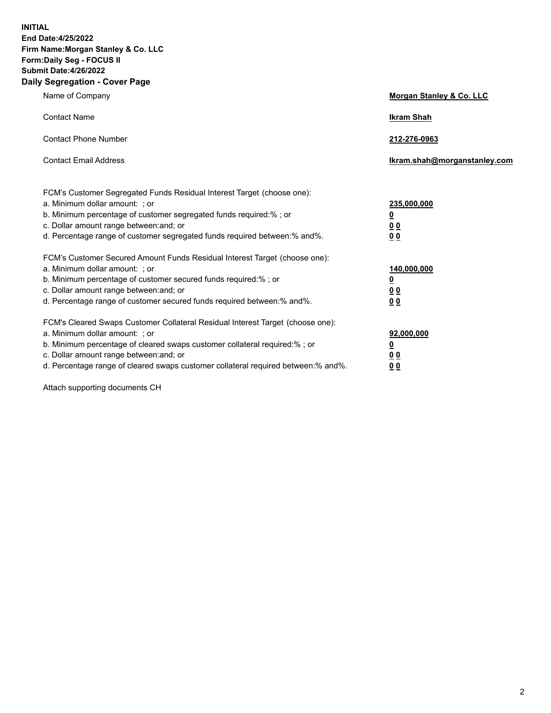**INITIAL End Date:4/25/2022 Firm Name:Morgan Stanley & Co. LLC Form:Daily Seg - FOCUS II Submit Date:4/26/2022 Daily Segregation - Cover Page**

| Name of Company                                                                                                                                                                                                                                                                                                                | <b>Morgan Stanley &amp; Co. LLC</b>                    |
|--------------------------------------------------------------------------------------------------------------------------------------------------------------------------------------------------------------------------------------------------------------------------------------------------------------------------------|--------------------------------------------------------|
| <b>Contact Name</b>                                                                                                                                                                                                                                                                                                            | <b>Ikram Shah</b>                                      |
| <b>Contact Phone Number</b>                                                                                                                                                                                                                                                                                                    | 212-276-0963                                           |
| <b>Contact Email Address</b>                                                                                                                                                                                                                                                                                                   | Ikram.shah@morganstanley.com                           |
| FCM's Customer Segregated Funds Residual Interest Target (choose one):<br>a. Minimum dollar amount: : or<br>b. Minimum percentage of customer segregated funds required:%; or<br>c. Dollar amount range between: and; or<br>d. Percentage range of customer segregated funds required between:% and%.                          | 235,000,000<br><u>0</u><br><u>00</u><br><u>00</u>      |
| FCM's Customer Secured Amount Funds Residual Interest Target (choose one):<br>a. Minimum dollar amount: ; or<br>b. Minimum percentage of customer secured funds required:%; or<br>c. Dollar amount range between: and; or<br>d. Percentage range of customer secured funds required between:% and%.                            | 140,000,000<br><u>0</u><br><u>00</u><br>0 <sub>0</sub> |
| FCM's Cleared Swaps Customer Collateral Residual Interest Target (choose one):<br>a. Minimum dollar amount: ; or<br>b. Minimum percentage of cleared swaps customer collateral required:% ; or<br>c. Dollar amount range between: and; or<br>d. Percentage range of cleared swaps customer collateral required between:% and%. | 92,000,000<br><u>0</u><br><u>00</u><br>00              |

Attach supporting documents CH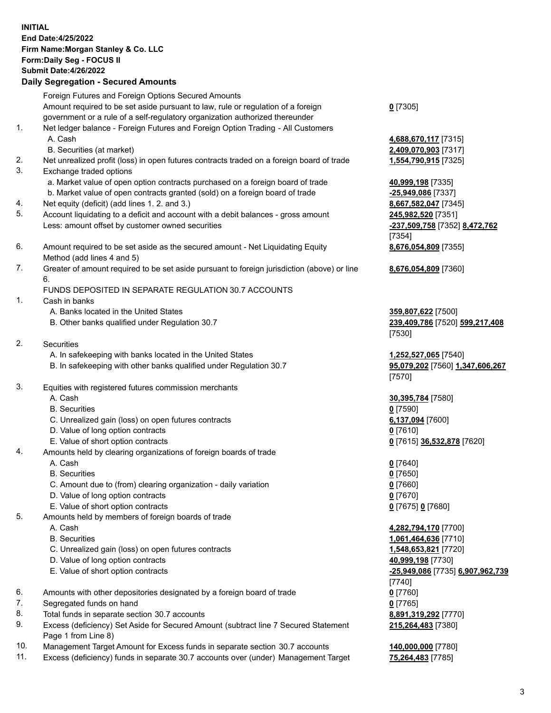## **INITIAL End Date:4/25/2022 Firm Name:Morgan Stanley & Co. LLC Form:Daily Seg - FOCUS II Submit Date:4/26/2022 Daily Segregation - Secured Amounts** Foreign Futures and Foreign Options Secured Amounts Amount required to be set aside pursuant to law, rule or regulation of a foreign government or a rule of a self-regulatory organization authorized thereunder 1. Net ledger balance - Foreign Futures and Foreign Option Trading - All Customers A. Cash **4,688,670,117** [7315] B. Securities (at market) **2,409,070,903** [7317] 2. Net unrealized profit (loss) in open futures contracts traded on a foreign board of trade **1,554,790,915** [7325] 3. Exchange traded options a. Market value of open option contracts purchased on a foreign board of trade **40,999,198** [7335] b. Market value of open contracts granted (sold) on a foreign board of trade **-25,949,086** [7337] 4. Net equity (deficit) (add lines 1. 2. and 3.) **8,667,582,047** [7345] 5. Account liquidating to a deficit and account with a debit balances - gross amount **245,982,520** [7351] Less: amount offset by customer owned securities **-237,509,758** [7352] **8,472,762** 6. Amount required to be set aside as the secured amount - Net Liquidating Equity Method (add lines 4 and 5) 7. Greater of amount required to be set aside pursuant to foreign jurisdiction (above) or line 6. FUNDS DEPOSITED IN SEPARATE REGULATION 30.7 ACCOUNTS 1. Cash in banks A. Banks located in the United States **359,807,622** [7500] B. Other banks qualified under Regulation 30.7 **239,409,786** [7520] **599,217,408**

- 2. Securities
	- A. In safekeeping with banks located in the United States **1,252,527,065** [7540]
	- B. In safekeeping with other banks qualified under Regulation 30.7 **95,079,202** [7560] **1,347,606,267**
- 3. Equities with registered futures commission merchants
	-
	- B. Securities **0** [7590]
	- C. Unrealized gain (loss) on open futures contracts **6,137,094** [7600]
	- D. Value of long option contracts **0** [7610]
	- E. Value of short option contracts **0** [7615] **36,532,878** [7620]
- 4. Amounts held by clearing organizations of foreign boards of trade
	-
	- B. Securities **0** [7650]
	- C. Amount due to (from) clearing organization daily variation **0** [7660]
	- D. Value of long option contracts **0** [7670]
	- E. Value of short option contracts **0** [7675] **0** [7680]
- 5. Amounts held by members of foreign boards of trade
	-
	-
	- C. Unrealized gain (loss) on open futures contracts **1,548,653,821** [7720]
	- D. Value of long option contracts **40,999,198** [7730]
	- E. Value of short option contracts **-25,949,086** [7735] **6,907,962,739**
- 6. Amounts with other depositories designated by a foreign board of trade **0** [7760]
- 7. Segregated funds on hand **0** [7765]
- 8. Total funds in separate section 30.7 accounts **8,891,319,292** [7770]
- 9. Excess (deficiency) Set Aside for Secured Amount (subtract line 7 Secured Statement Page 1 from Line 8)
- 10. Management Target Amount for Excess funds in separate section 30.7 accounts **140,000,000** [7780]
- 11. Excess (deficiency) funds in separate 30.7 accounts over (under) Management Target **75,264,483** [7785]

**0** [7305]

[7354] **8,676,054,809** [7355]

**8,676,054,809** [7360]

[7530]

[7570]

A. Cash **30,395,784** [7580]

A. Cash **0** [7640]

 A. Cash **4,282,794,170** [7700] B. Securities **1,061,464,636** [7710] [7740] **215,264,483** [7380]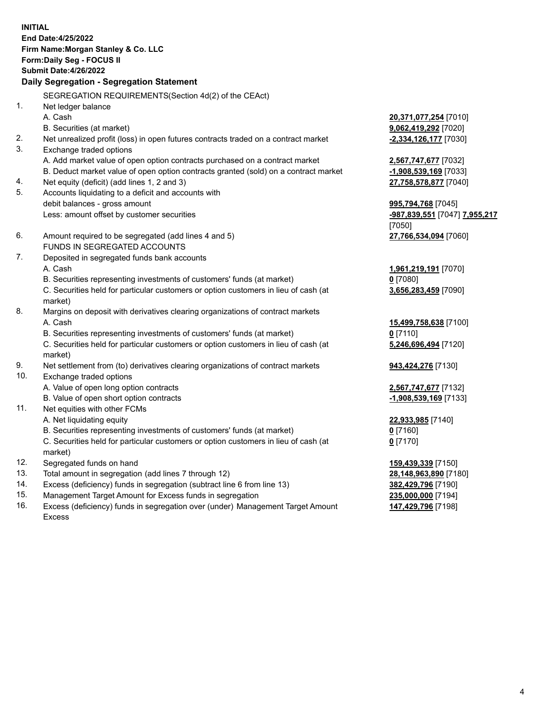**INITIAL End Date:4/25/2022 Firm Name:Morgan Stanley & Co. LLC Form:Daily Seg - FOCUS II Submit Date:4/26/2022 Daily Segregation - Segregation Statement** SEGREGATION REQUIREMENTS(Section 4d(2) of the CEAct) 1. Net ledger balance A. Cash **20,371,077,254** [7010] B. Securities (at market) **9,062,419,292** [7020] 2. Net unrealized profit (loss) in open futures contracts traded on a contract market **-2,334,126,177** [7030] 3. Exchange traded options A. Add market value of open option contracts purchased on a contract market **2,567,747,677** [7032] B. Deduct market value of open option contracts granted (sold) on a contract market **-1,908,539,169** [7033] 4. Net equity (deficit) (add lines 1, 2 and 3) **27,758,578,877** [7040] 5. Accounts liquidating to a deficit and accounts with debit balances - gross amount **995,794,768** [7045] Less: amount offset by customer securities **-987,839,551** [7047] **7,955,217** [7050] 6. Amount required to be segregated (add lines 4 and 5) **27,766,534,094** [7060] FUNDS IN SEGREGATED ACCOUNTS 7. Deposited in segregated funds bank accounts A. Cash **1,961,219,191** [7070] B. Securities representing investments of customers' funds (at market) **0** [7080] C. Securities held for particular customers or option customers in lieu of cash (at market) **3,656,283,459** [7090] 8. Margins on deposit with derivatives clearing organizations of contract markets A. Cash **15,499,758,638** [7100] B. Securities representing investments of customers' funds (at market) **0** [7110] C. Securities held for particular customers or option customers in lieu of cash (at market) **5,246,696,494** [7120] 9. Net settlement from (to) derivatives clearing organizations of contract markets **943,424,276** [7130] 10. Exchange traded options A. Value of open long option contracts **2,567,747,677** [7132] B. Value of open short option contracts **-1,908,539,169** [7133] 11. Net equities with other FCMs A. Net liquidating equity **22,933,985** [7140] B. Securities representing investments of customers' funds (at market) **0** [7160] C. Securities held for particular customers or option customers in lieu of cash (at market) **0** [7170] 12. Segregated funds on hand **159,439,339** [7150] 13. Total amount in segregation (add lines 7 through 12) **28,148,963,890** [7180] 14. Excess (deficiency) funds in segregation (subtract line 6 from line 13) **382,429,796** [7190] 15. Management Target Amount for Excess funds in segregation **235,000,000** [7194]

16. Excess (deficiency) funds in segregation over (under) Management Target Amount Excess

**147,429,796** [7198]